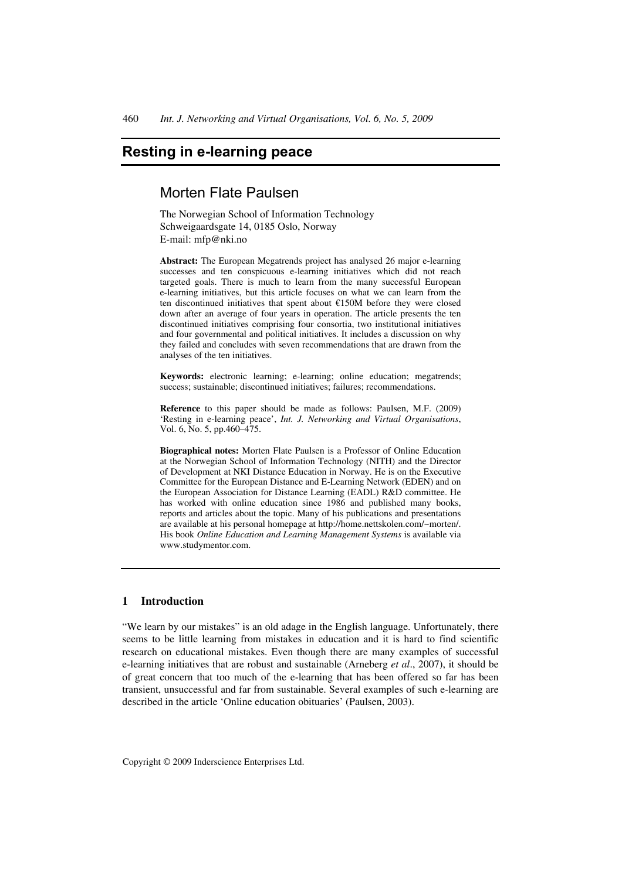# Morten Flate Paulsen

The Norwegian School of Information Technology Schweigaardsgate 14, 0185 Oslo, Norway E-mail: mfp@nki.no

**Abstract:** The European Megatrends project has analysed 26 major e-learning successes and ten conspicuous e-learning initiatives which did not reach targeted goals. There is much to learn from the many successful European e-learning initiatives, but this article focuses on what we can learn from the ten discontinued initiatives that spent about €150M before they were closed down after an average of four years in operation. The article presents the ten discontinued initiatives comprising four consortia, two institutional initiatives and four governmental and political initiatives. It includes a discussion on why they failed and concludes with seven recommendations that are drawn from the analyses of the ten initiatives.

**Keywords:** electronic learning; e-learning; online education; megatrends; success; sustainable; discontinued initiatives; failures; recommendations.

**Reference** to this paper should be made as follows: Paulsen, M.F. (2009) 'Resting in e-learning peace', *Int. J. Networking and Virtual Organisations*, Vol. 6, No. 5, pp.460–475.

**Biographical notes:** Morten Flate Paulsen is a Professor of Online Education at the Norwegian School of Information Technology (NITH) and the Director of Development at NKI Distance Education in Norway. He is on the Executive Committee for the European Distance and E-Learning Network (EDEN) and on the European Association for Distance Learning (EADL) R&D committee. He has worked with online education since 1986 and published many books, reports and articles about the topic. Many of his publications and presentations are available at his personal homepage at http://home.nettskolen.com/~morten/. His book *Online Education and Learning Management Systems* is available via www.studymentor.com.

## **1 Introduction**

"We learn by our mistakes" is an old adage in the English language. Unfortunately, there seems to be little learning from mistakes in education and it is hard to find scientific research on educational mistakes. Even though there are many examples of successful e-learning initiatives that are robust and sustainable (Arneberg *et al*., 2007), it should be of great concern that too much of the e-learning that has been offered so far has been transient, unsuccessful and far from sustainable. Several examples of such e-learning are described in the article 'Online education obituaries' (Paulsen, 2003).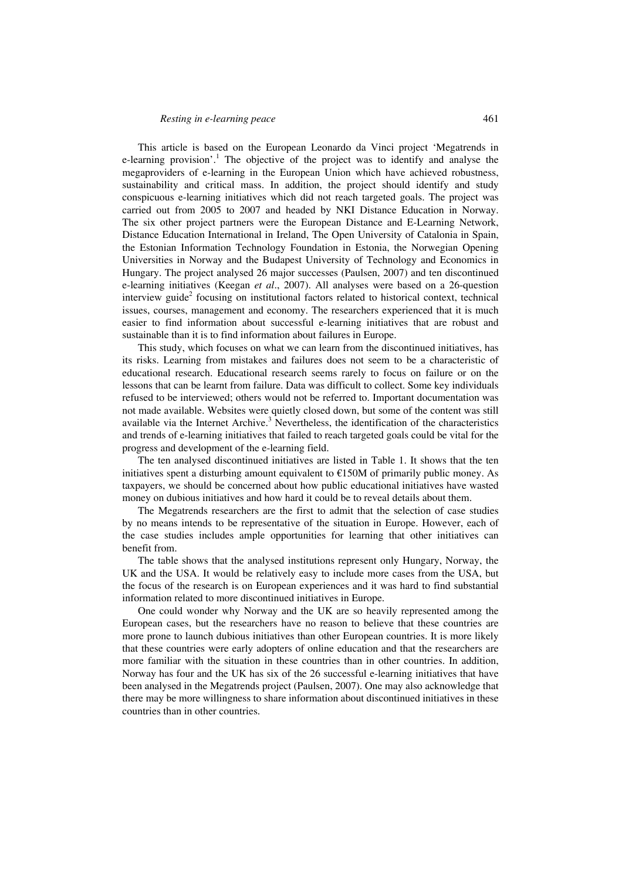This article is based on the European Leonardo da Vinci project 'Megatrends in e-learning provision'.<sup>1</sup> The objective of the project was to identify and analyse the megaproviders of e-learning in the European Union which have achieved robustness, sustainability and critical mass. In addition, the project should identify and study conspicuous e-learning initiatives which did not reach targeted goals. The project was carried out from 2005 to 2007 and headed by NKI Distance Education in Norway. The six other project partners were the European Distance and E-Learning Network, Distance Education International in Ireland, The Open University of Catalonia in Spain, the Estonian Information Technology Foundation in Estonia, the Norwegian Opening Universities in Norway and the Budapest University of Technology and Economics in Hungary. The project analysed 26 major successes (Paulsen, 2007) and ten discontinued e-learning initiatives (Keegan *et al*., 2007). All analyses were based on a 26-question interview guide<sup>2</sup> focusing on institutional factors related to historical context, technical issues, courses, management and economy. The researchers experienced that it is much easier to find information about successful e-learning initiatives that are robust and sustainable than it is to find information about failures in Europe.

This study, which focuses on what we can learn from the discontinued initiatives, has its risks. Learning from mistakes and failures does not seem to be a characteristic of educational research. Educational research seems rarely to focus on failure or on the lessons that can be learnt from failure. Data was difficult to collect. Some key individuals refused to be interviewed; others would not be referred to. Important documentation was not made available. Websites were quietly closed down, but some of the content was still available via the Internet Archive.<sup>3</sup> Nevertheless, the identification of the characteristics and trends of e-learning initiatives that failed to reach targeted goals could be vital for the progress and development of the e-learning field.

The ten analysed discontinued initiatives are listed in Table 1. It shows that the ten initiatives spent a disturbing amount equivalent to  $E150M$  of primarily public money. As taxpayers, we should be concerned about how public educational initiatives have wasted money on dubious initiatives and how hard it could be to reveal details about them.

The Megatrends researchers are the first to admit that the selection of case studies by no means intends to be representative of the situation in Europe. However, each of the case studies includes ample opportunities for learning that other initiatives can benefit from.

The table shows that the analysed institutions represent only Hungary, Norway, the UK and the USA. It would be relatively easy to include more cases from the USA, but the focus of the research is on European experiences and it was hard to find substantial information related to more discontinued initiatives in Europe.

One could wonder why Norway and the UK are so heavily represented among the European cases, but the researchers have no reason to believe that these countries are more prone to launch dubious initiatives than other European countries. It is more likely that these countries were early adopters of online education and that the researchers are more familiar with the situation in these countries than in other countries. In addition, Norway has four and the UK has six of the 26 successful e-learning initiatives that have been analysed in the Megatrends project (Paulsen, 2007). One may also acknowledge that there may be more willingness to share information about discontinued initiatives in these countries than in other countries.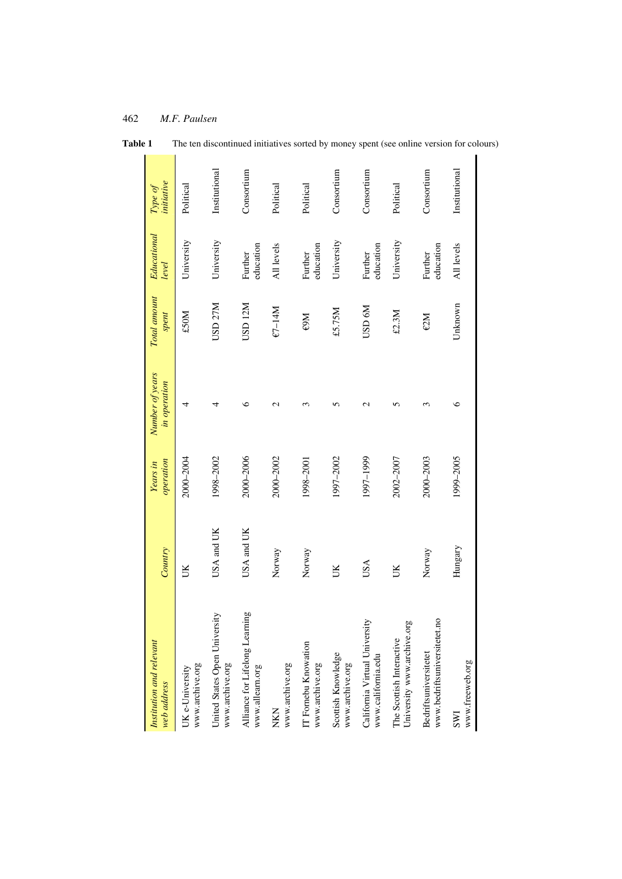| Institution and relevant<br>web address                | Country    | operation<br>Years in | Number of years<br>in operation | Total amount<br>spent | Educational<br>level | initiative<br>Type of |
|--------------------------------------------------------|------------|-----------------------|---------------------------------|-----------------------|----------------------|-----------------------|
| www.archive.org<br>UK e-University                     | UK         | 2000-2004             | 4                               | <b>M0S3</b>           | University           | Political             |
| United States Open University<br>www.archive.org       | USA and UK | 1998-2002             | 4                               | USD <sub>27M</sub>    | University           | Institutional         |
| Alliance for Lifelong Learning<br>www.allearn.org      | USA and UK | 2000-2006             | ৩                               | USD <sub>12M</sub>    | education<br>Further | Consortium            |
| www.archive.org<br><b>NKN</b>                          | Norway     | 2000-2002             | $\mathbf 2$                     | €7-14M                | All levels           | Political             |
| IT Fornebu Knowation<br>www.archive.org                | Norway     | 1998-2001             | 3                               | €9M                   | education<br>Further | Political             |
| Scottish Knowledge<br>www.archive.org                  | UК         | 1997-2002             | 5                               | £5.75M                | University           | Consortium            |
| California Virtual University<br>www.california.edu    | <b>USA</b> | 1997-1999             | $\mathbf 2$                     | <b>N9 GSD</b>         | education<br>Further | Consortium            |
| University www.archive.org<br>The Scottish Interactive | UK         | 2002–2007             | 5                               | £2.3M                 | University           | Political             |
| www.bedriftsuniversitetet.no<br>Bedriftsuniversitetet  | Norway     | 2000-2003             | ξ                               | E2M                   | education<br>Further | Consortium            |
| www.freeweb.org<br>SWI                                 | Hungary    | 1999-2005             | ७                               | Unknown               | All levels           | Institutional         |

Table 1 The ten discontinued initiatives sorted by money spent (see online version for colours)

## 462 *M.F. Paulsen*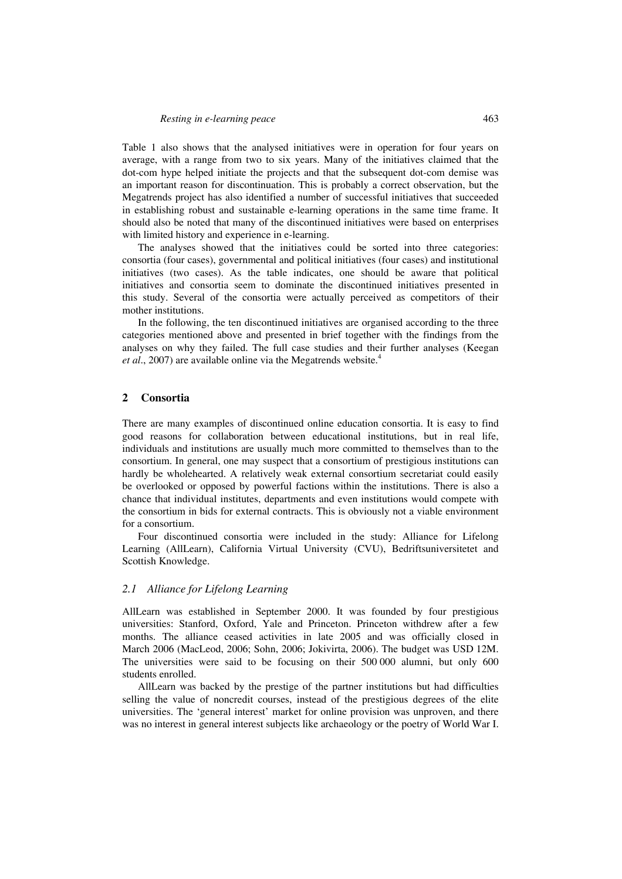Table 1 also shows that the analysed initiatives were in operation for four years on average, with a range from two to six years. Many of the initiatives claimed that the dot-com hype helped initiate the projects and that the subsequent dot-com demise was an important reason for discontinuation. This is probably a correct observation, but the Megatrends project has also identified a number of successful initiatives that succeeded in establishing robust and sustainable e-learning operations in the same time frame. It should also be noted that many of the discontinued initiatives were based on enterprises with limited history and experience in e-learning.

The analyses showed that the initiatives could be sorted into three categories: consortia (four cases), governmental and political initiatives (four cases) and institutional initiatives (two cases). As the table indicates, one should be aware that political initiatives and consortia seem to dominate the discontinued initiatives presented in this study. Several of the consortia were actually perceived as competitors of their mother institutions.

In the following, the ten discontinued initiatives are organised according to the three categories mentioned above and presented in brief together with the findings from the analyses on why they failed. The full case studies and their further analyses (Keegan *et al.*, 2007) are available online via the Megatrends website.<sup>4</sup>

## **2 Consortia**

There are many examples of discontinued online education consortia. It is easy to find good reasons for collaboration between educational institutions, but in real life, individuals and institutions are usually much more committed to themselves than to the consortium. In general, one may suspect that a consortium of prestigious institutions can hardly be wholehearted. A relatively weak external consortium secretariat could easily be overlooked or opposed by powerful factions within the institutions. There is also a chance that individual institutes, departments and even institutions would compete with the consortium in bids for external contracts. This is obviously not a viable environment for a consortium.

Four discontinued consortia were included in the study: Alliance for Lifelong Learning (AllLearn), California Virtual University (CVU), Bedriftsuniversitetet and Scottish Knowledge.

## *2.1 Alliance for Lifelong Learning*

AllLearn was established in September 2000. It was founded by four prestigious universities: Stanford, Oxford, Yale and Princeton. Princeton withdrew after a few months. The alliance ceased activities in late 2005 and was officially closed in March 2006 (MacLeod, 2006; Sohn, 2006; Jokivirta, 2006). The budget was USD 12M. The universities were said to be focusing on their 500 000 alumni, but only 600 students enrolled.

AllLearn was backed by the prestige of the partner institutions but had difficulties selling the value of noncredit courses, instead of the prestigious degrees of the elite universities. The 'general interest' market for online provision was unproven, and there was no interest in general interest subjects like archaeology or the poetry of World War I.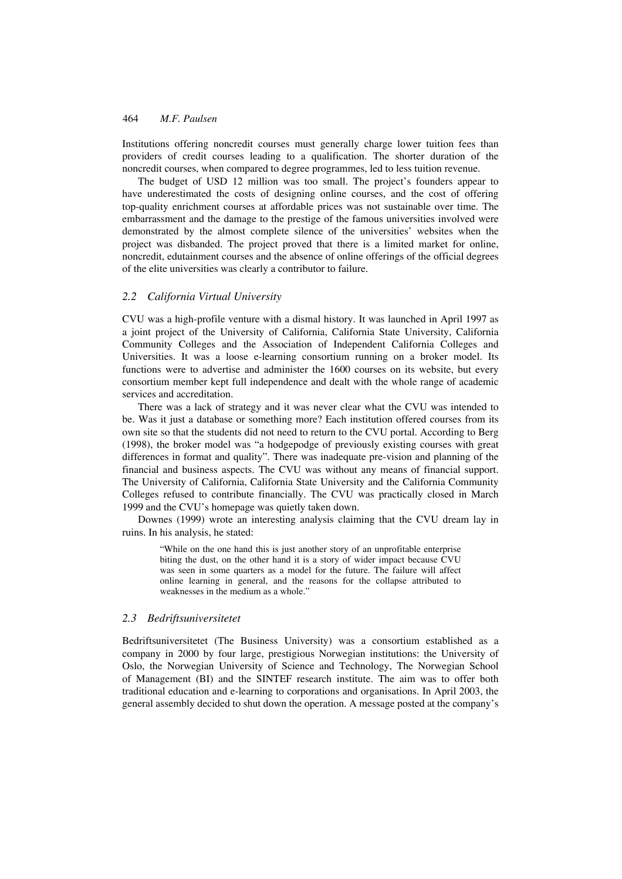Institutions offering noncredit courses must generally charge lower tuition fees than providers of credit courses leading to a qualification. The shorter duration of the noncredit courses, when compared to degree programmes, led to less tuition revenue.

The budget of USD 12 million was too small. The project's founders appear to have underestimated the costs of designing online courses, and the cost of offering top-quality enrichment courses at affordable prices was not sustainable over time. The embarrassment and the damage to the prestige of the famous universities involved were demonstrated by the almost complete silence of the universities' websites when the project was disbanded. The project proved that there is a limited market for online, noncredit, edutainment courses and the absence of online offerings of the official degrees of the elite universities was clearly a contributor to failure.

## *2.2 California Virtual University*

CVU was a high-profile venture with a dismal history. It was launched in April 1997 as a joint project of the University of California, California State University, California Community Colleges and the Association of Independent California Colleges and Universities. It was a loose e-learning consortium running on a broker model. Its functions were to advertise and administer the 1600 courses on its website, but every consortium member kept full independence and dealt with the whole range of academic services and accreditation.

There was a lack of strategy and it was never clear what the CVU was intended to be. Was it just a database or something more? Each institution offered courses from its own site so that the students did not need to return to the CVU portal. According to Berg (1998), the broker model was "a hodgepodge of previously existing courses with great differences in format and quality". There was inadequate pre-vision and planning of the financial and business aspects. The CVU was without any means of financial support. The University of California, California State University and the California Community Colleges refused to contribute financially. The CVU was practically closed in March 1999 and the CVU's homepage was quietly taken down.

Downes (1999) wrote an interesting analysis claiming that the CVU dream lay in ruins. In his analysis, he stated:

"While on the one hand this is just another story of an unprofitable enterprise biting the dust, on the other hand it is a story of wider impact because CVU was seen in some quarters as a model for the future. The failure will affect online learning in general, and the reasons for the collapse attributed to weaknesses in the medium as a whole."

#### *2.3 Bedriftsuniversitetet*

Bedriftsuniversitetet (The Business University) was a consortium established as a company in 2000 by four large, prestigious Norwegian institutions: the University of Oslo, the Norwegian University of Science and Technology, The Norwegian School of Management (BI) and the SINTEF research institute. The aim was to offer both traditional education and e-learning to corporations and organisations. In April 2003, the general assembly decided to shut down the operation. A message posted at the company's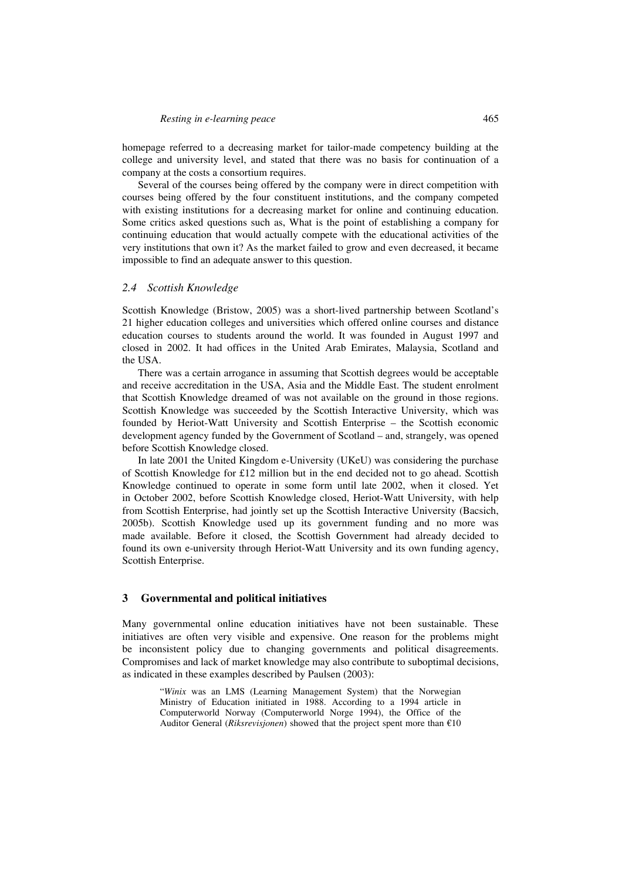homepage referred to a decreasing market for tailor-made competency building at the college and university level, and stated that there was no basis for continuation of a company at the costs a consortium requires.

Several of the courses being offered by the company were in direct competition with courses being offered by the four constituent institutions, and the company competed with existing institutions for a decreasing market for online and continuing education. Some critics asked questions such as, What is the point of establishing a company for continuing education that would actually compete with the educational activities of the very institutions that own it? As the market failed to grow and even decreased, it became impossible to find an adequate answer to this question.

#### *2.4 Scottish Knowledge*

Scottish Knowledge (Bristow, 2005) was a short-lived partnership between Scotland's 21 higher education colleges and universities which offered online courses and distance education courses to students around the world. It was founded in August 1997 and closed in 2002. It had offices in the United Arab Emirates, Malaysia, Scotland and the USA.

There was a certain arrogance in assuming that Scottish degrees would be acceptable and receive accreditation in the USA, Asia and the Middle East. The student enrolment that Scottish Knowledge dreamed of was not available on the ground in those regions. Scottish Knowledge was succeeded by the Scottish Interactive University, which was founded by Heriot-Watt University and Scottish Enterprise – the Scottish economic development agency funded by the Government of Scotland – and, strangely, was opened before Scottish Knowledge closed.

In late 2001 the United Kingdom e-University (UKeU) was considering the purchase of Scottish Knowledge for £12 million but in the end decided not to go ahead. Scottish Knowledge continued to operate in some form until late 2002, when it closed. Yet in October 2002, before Scottish Knowledge closed, Heriot-Watt University, with help from Scottish Enterprise, had jointly set up the Scottish Interactive University (Bacsich, 2005b). Scottish Knowledge used up its government funding and no more was made available. Before it closed, the Scottish Government had already decided to found its own e-university through Heriot-Watt University and its own funding agency, Scottish Enterprise.

## **3 Governmental and political initiatives**

Many governmental online education initiatives have not been sustainable. These initiatives are often very visible and expensive. One reason for the problems might be inconsistent policy due to changing governments and political disagreements. Compromises and lack of market knowledge may also contribute to suboptimal decisions, as indicated in these examples described by Paulsen (2003):

"*Winix* was an LMS (Learning Management System) that the Norwegian Ministry of Education initiated in 1988. According to a 1994 article in Computerworld Norway (Computerworld Norge 1994), the Office of the Auditor General (*Riksrevisjonen*) showed that the project spent more than €10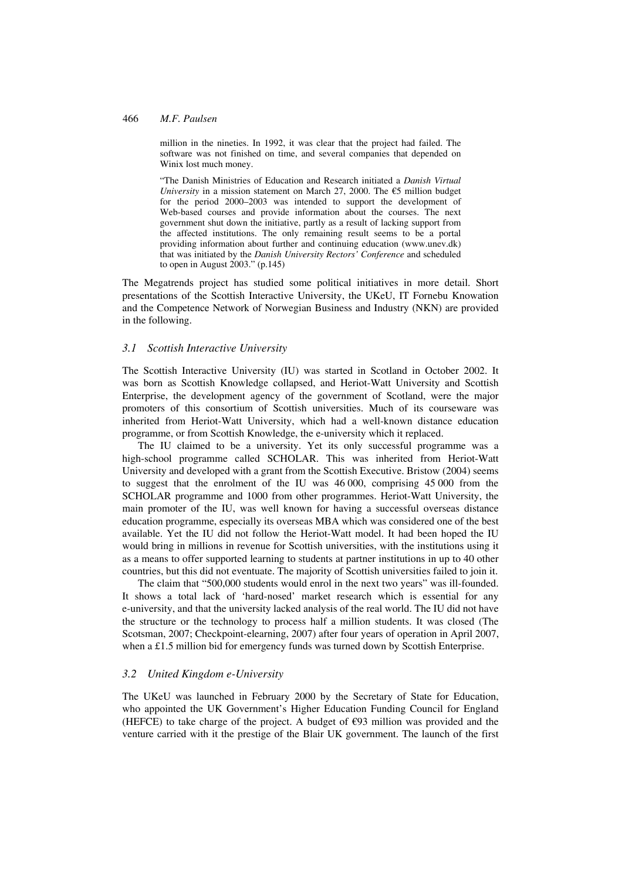million in the nineties. In 1992, it was clear that the project had failed. The software was not finished on time, and several companies that depended on Winix lost much money.

"The Danish Ministries of Education and Research initiated a *Danish Virtual University* in a mission statement on March 27, 2000. The €5 million budget for the period 2000–2003 was intended to support the development of Web-based courses and provide information about the courses. The next government shut down the initiative, partly as a result of lacking support from the affected institutions. The only remaining result seems to be a portal providing information about further and continuing education (www.unev.dk) that was initiated by the *Danish University Rectors' Conference* and scheduled to open in August 2003." (p.145)

The Megatrends project has studied some political initiatives in more detail. Short presentations of the Scottish Interactive University, the UKeU, IT Fornebu Knowation and the Competence Network of Norwegian Business and Industry (NKN) are provided in the following.

## *3.1 Scottish Interactive University*

The Scottish Interactive University (IU) was started in Scotland in October 2002. It was born as Scottish Knowledge collapsed, and Heriot-Watt University and Scottish Enterprise, the development agency of the government of Scotland, were the major promoters of this consortium of Scottish universities. Much of its courseware was inherited from Heriot-Watt University, which had a well-known distance education programme, or from Scottish Knowledge, the e-university which it replaced.

The IU claimed to be a university. Yet its only successful programme was a high-school programme called SCHOLAR. This was inherited from Heriot-Watt University and developed with a grant from the Scottish Executive. Bristow (2004) seems to suggest that the enrolment of the IU was 46 000, comprising 45 000 from the SCHOLAR programme and 1000 from other programmes. Heriot-Watt University, the main promoter of the IU, was well known for having a successful overseas distance education programme, especially its overseas MBA which was considered one of the best available. Yet the IU did not follow the Heriot-Watt model. It had been hoped the IU would bring in millions in revenue for Scottish universities, with the institutions using it as a means to offer supported learning to students at partner institutions in up to 40 other countries, but this did not eventuate. The majority of Scottish universities failed to join it.

The claim that "500,000 students would enrol in the next two years" was ill-founded. It shows a total lack of 'hard-nosed' market research which is essential for any e-university, and that the university lacked analysis of the real world. The IU did not have the structure or the technology to process half a million students. It was closed (The Scotsman, 2007; Checkpoint-elearning, 2007) after four years of operation in April 2007, when a £1.5 million bid for emergency funds was turned down by Scottish Enterprise.

#### *3.2 United Kingdom e-University*

The UKeU was launched in February 2000 by the Secretary of State for Education, who appointed the UK Government's Higher Education Funding Council for England (HEFCE) to take charge of the project. A budget of  $\epsilon$ 93 million was provided and the venture carried with it the prestige of the Blair UK government. The launch of the first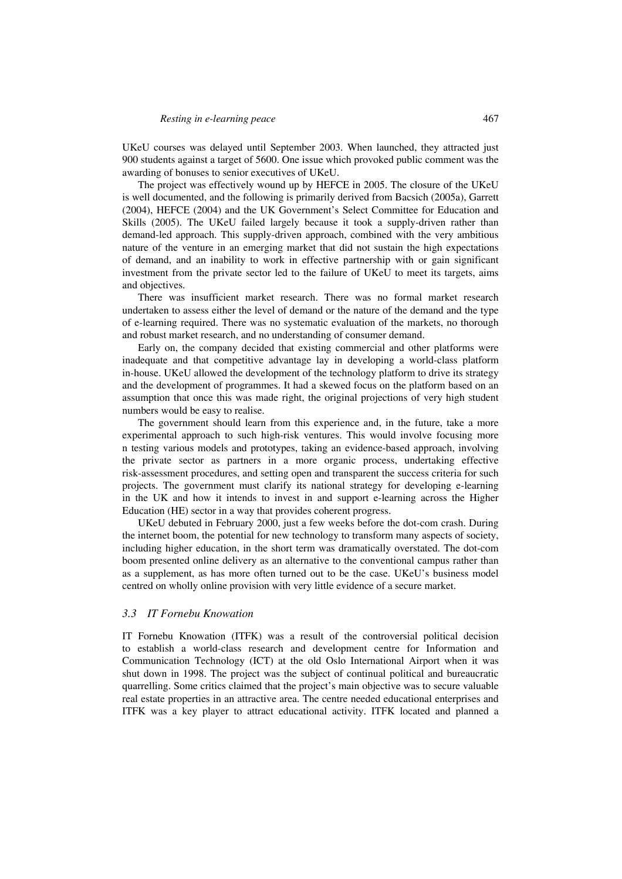UKeU courses was delayed until September 2003. When launched, they attracted just 900 students against a target of 5600. One issue which provoked public comment was the awarding of bonuses to senior executives of UKeU.

The project was effectively wound up by HEFCE in 2005. The closure of the UKeU is well documented, and the following is primarily derived from Bacsich (2005a), Garrett (2004), HEFCE (2004) and the UK Government's Select Committee for Education and Skills (2005). The UKeU failed largely because it took a supply-driven rather than demand-led approach. This supply-driven approach, combined with the very ambitious nature of the venture in an emerging market that did not sustain the high expectations of demand, and an inability to work in effective partnership with or gain significant investment from the private sector led to the failure of UKeU to meet its targets, aims and objectives.

There was insufficient market research. There was no formal market research undertaken to assess either the level of demand or the nature of the demand and the type of e-learning required. There was no systematic evaluation of the markets, no thorough and robust market research, and no understanding of consumer demand.

Early on, the company decided that existing commercial and other platforms were inadequate and that competitive advantage lay in developing a world-class platform in-house. UKeU allowed the development of the technology platform to drive its strategy and the development of programmes. It had a skewed focus on the platform based on an assumption that once this was made right, the original projections of very high student numbers would be easy to realise.

The government should learn from this experience and, in the future, take a more experimental approach to such high-risk ventures. This would involve focusing more n testing various models and prototypes, taking an evidence-based approach, involving the private sector as partners in a more organic process, undertaking effective risk-assessment procedures, and setting open and transparent the success criteria for such projects. The government must clarify its national strategy for developing e-learning in the UK and how it intends to invest in and support e-learning across the Higher Education (HE) sector in a way that provides coherent progress.

UKeU debuted in February 2000, just a few weeks before the dot-com crash. During the internet boom, the potential for new technology to transform many aspects of society, including higher education, in the short term was dramatically overstated. The dot-com boom presented online delivery as an alternative to the conventional campus rather than as a supplement, as has more often turned out to be the case. UKeU's business model centred on wholly online provision with very little evidence of a secure market.

#### *3.3 IT Fornebu Knowation*

IT Fornebu Knowation (ITFK) was a result of the controversial political decision to establish a world-class research and development centre for Information and Communication Technology (ICT) at the old Oslo International Airport when it was shut down in 1998. The project was the subject of continual political and bureaucratic quarrelling. Some critics claimed that the project's main objective was to secure valuable real estate properties in an attractive area. The centre needed educational enterprises and ITFK was a key player to attract educational activity. ITFK located and planned a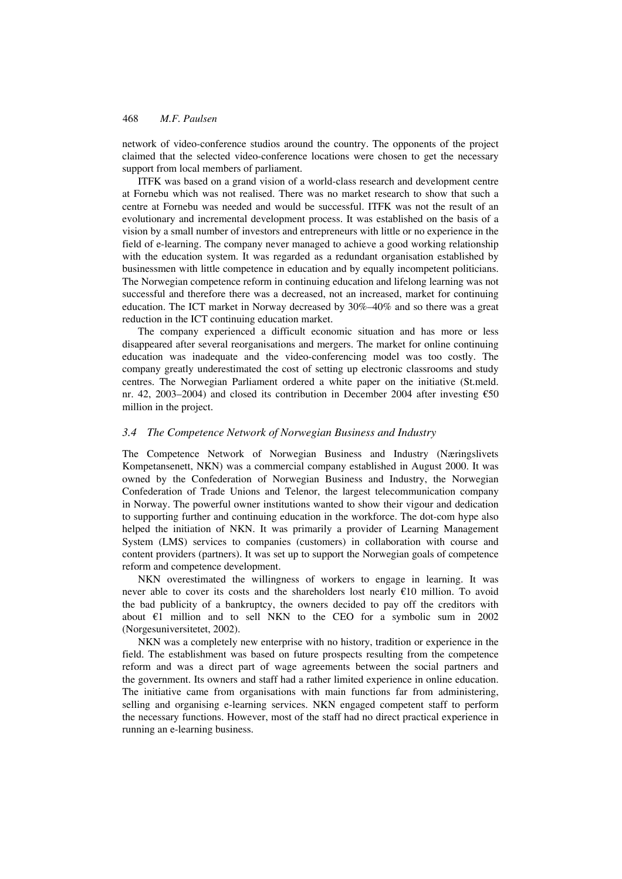network of video-conference studios around the country. The opponents of the project claimed that the selected video-conference locations were chosen to get the necessary support from local members of parliament.

ITFK was based on a grand vision of a world-class research and development centre at Fornebu which was not realised. There was no market research to show that such a centre at Fornebu was needed and would be successful. ITFK was not the result of an evolutionary and incremental development process. It was established on the basis of a vision by a small number of investors and entrepreneurs with little or no experience in the field of e-learning. The company never managed to achieve a good working relationship with the education system. It was regarded as a redundant organisation established by businessmen with little competence in education and by equally incompetent politicians. The Norwegian competence reform in continuing education and lifelong learning was not successful and therefore there was a decreased, not an increased, market for continuing education. The ICT market in Norway decreased by 30%–40% and so there was a great reduction in the ICT continuing education market.

The company experienced a difficult economic situation and has more or less disappeared after several reorganisations and mergers. The market for online continuing education was inadequate and the video-conferencing model was too costly. The company greatly underestimated the cost of setting up electronic classrooms and study centres. The Norwegian Parliament ordered a white paper on the initiative (St.meld. nr. 42, 2003–2004) and closed its contribution in December 2004 after investing €50 million in the project.

#### *3.4 The Competence Network of Norwegian Business and Industry*

The Competence Network of Norwegian Business and Industry (Næringslivets Kompetansenett, NKN) was a commercial company established in August 2000. It was owned by the Confederation of Norwegian Business and Industry, the Norwegian Confederation of Trade Unions and Telenor, the largest telecommunication company in Norway. The powerful owner institutions wanted to show their vigour and dedication to supporting further and continuing education in the workforce. The dot-com hype also helped the initiation of NKN. It was primarily a provider of Learning Management System (LMS) services to companies (customers) in collaboration with course and content providers (partners). It was set up to support the Norwegian goals of competence reform and competence development.

NKN overestimated the willingness of workers to engage in learning. It was never able to cover its costs and the shareholders lost nearly  $\epsilon$ 10 million. To avoid the bad publicity of a bankruptcy, the owners decided to pay off the creditors with about  $E1$  million and to sell NKN to the CEO for a symbolic sum in 2002 (Norgesuniversitetet, 2002).

NKN was a completely new enterprise with no history, tradition or experience in the field. The establishment was based on future prospects resulting from the competence reform and was a direct part of wage agreements between the social partners and the government. Its owners and staff had a rather limited experience in online education. The initiative came from organisations with main functions far from administering, selling and organising e-learning services. NKN engaged competent staff to perform the necessary functions. However, most of the staff had no direct practical experience in running an e-learning business.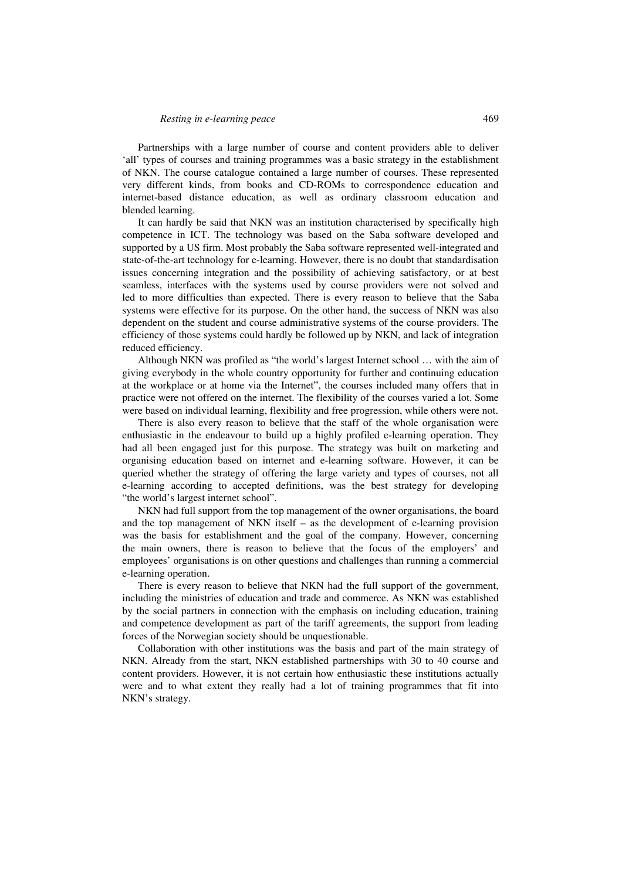Partnerships with a large number of course and content providers able to deliver 'all' types of courses and training programmes was a basic strategy in the establishment of NKN. The course catalogue contained a large number of courses. These represented very different kinds, from books and CD-ROMs to correspondence education and internet-based distance education, as well as ordinary classroom education and blended learning.

It can hardly be said that NKN was an institution characterised by specifically high competence in ICT. The technology was based on the Saba software developed and supported by a US firm. Most probably the Saba software represented well-integrated and state-of-the-art technology for e-learning. However, there is no doubt that standardisation issues concerning integration and the possibility of achieving satisfactory, or at best seamless, interfaces with the systems used by course providers were not solved and led to more difficulties than expected. There is every reason to believe that the Saba systems were effective for its purpose. On the other hand, the success of NKN was also dependent on the student and course administrative systems of the course providers. The efficiency of those systems could hardly be followed up by NKN, and lack of integration reduced efficiency.

Although NKN was profiled as "the world's largest Internet school … with the aim of giving everybody in the whole country opportunity for further and continuing education at the workplace or at home via the Internet", the courses included many offers that in practice were not offered on the internet. The flexibility of the courses varied a lot. Some were based on individual learning, flexibility and free progression, while others were not.

There is also every reason to believe that the staff of the whole organisation were enthusiastic in the endeavour to build up a highly profiled e-learning operation. They had all been engaged just for this purpose. The strategy was built on marketing and organising education based on internet and e-learning software. However, it can be queried whether the strategy of offering the large variety and types of courses, not all e-learning according to accepted definitions, was the best strategy for developing "the world's largest internet school".

NKN had full support from the top management of the owner organisations, the board and the top management of NKN itself – as the development of e-learning provision was the basis for establishment and the goal of the company. However, concerning the main owners, there is reason to believe that the focus of the employers' and employees' organisations is on other questions and challenges than running a commercial e-learning operation.

There is every reason to believe that NKN had the full support of the government, including the ministries of education and trade and commerce. As NKN was established by the social partners in connection with the emphasis on including education, training and competence development as part of the tariff agreements, the support from leading forces of the Norwegian society should be unquestionable.

Collaboration with other institutions was the basis and part of the main strategy of NKN. Already from the start, NKN established partnerships with 30 to 40 course and content providers. However, it is not certain how enthusiastic these institutions actually were and to what extent they really had a lot of training programmes that fit into NKN's strategy.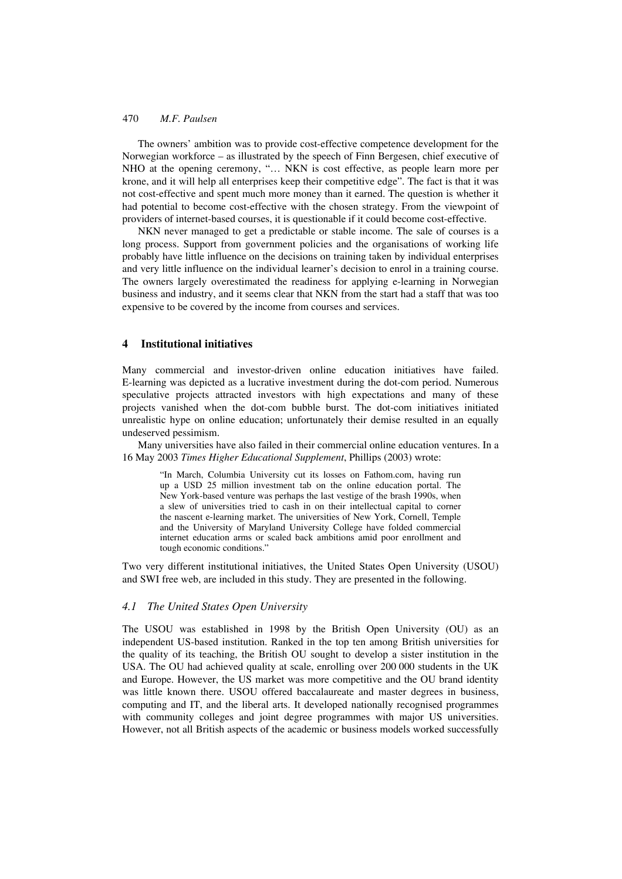The owners' ambition was to provide cost-effective competence development for the Norwegian workforce – as illustrated by the speech of Finn Bergesen, chief executive of NHO at the opening ceremony, "… NKN is cost effective, as people learn more per krone, and it will help all enterprises keep their competitive edge". The fact is that it was not cost-effective and spent much more money than it earned. The question is whether it had potential to become cost-effective with the chosen strategy. From the viewpoint of providers of internet-based courses, it is questionable if it could become cost-effective.

NKN never managed to get a predictable or stable income. The sale of courses is a long process. Support from government policies and the organisations of working life probably have little influence on the decisions on training taken by individual enterprises and very little influence on the individual learner's decision to enrol in a training course. The owners largely overestimated the readiness for applying e-learning in Norwegian business and industry, and it seems clear that NKN from the start had a staff that was too expensive to be covered by the income from courses and services.

#### **4 Institutional initiatives**

Many commercial and investor-driven online education initiatives have failed. E-learning was depicted as a lucrative investment during the dot-com period. Numerous speculative projects attracted investors with high expectations and many of these projects vanished when the dot-com bubble burst. The dot-com initiatives initiated unrealistic hype on online education; unfortunately their demise resulted in an equally undeserved pessimism.

Many universities have also failed in their commercial online education ventures. In a 16 May 2003 *Times Higher Educational Supplement*, Phillips (2003) wrote:

"In March, Columbia University cut its losses on Fathom.com, having run up a USD 25 million investment tab on the online education portal. The New York-based venture was perhaps the last vestige of the brash 1990s, when a slew of universities tried to cash in on their intellectual capital to corner the nascent e-learning market. The universities of New York, Cornell, Temple and the University of Maryland University College have folded commercial internet education arms or scaled back ambitions amid poor enrollment and tough economic conditions."

Two very different institutional initiatives, the United States Open University (USOU) and SWI free web, are included in this study. They are presented in the following.

## *4.1 The United States Open University*

The USOU was established in 1998 by the British Open University (OU) as an independent US-based institution. Ranked in the top ten among British universities for the quality of its teaching, the British OU sought to develop a sister institution in the USA. The OU had achieved quality at scale, enrolling over 200 000 students in the UK and Europe. However, the US market was more competitive and the OU brand identity was little known there. USOU offered baccalaureate and master degrees in business, computing and IT, and the liberal arts. It developed nationally recognised programmes with community colleges and joint degree programmes with major US universities. However, not all British aspects of the academic or business models worked successfully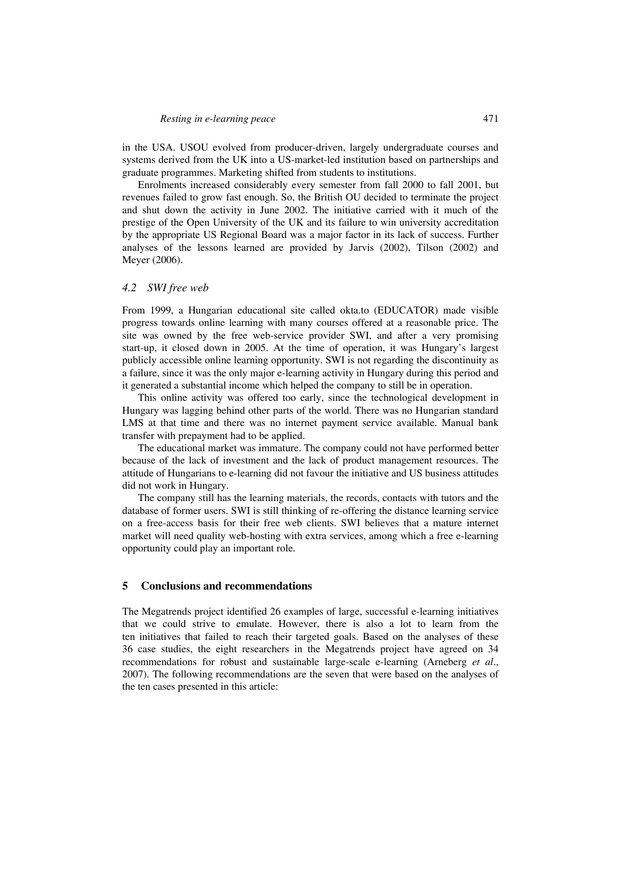in the USA. USOU evolved from producer-driven, largely undergraduate courses and systems derived from the UK into a US-market-led institution based on partnerships and graduate programmes. Marketing shifted from students to institutions.

Enrolments increased considerably every semester from fall 2000 to fall 2001, but revenues failed to grow fast enough. So, the British OU decided to terminate the project and shut down the activity in June 2002. The initiative carried with it much of the prestige of the Open University of the UK and its failure to win university accreditation by the appropriate US Regional Board was a major factor in its lack of success. Further analyses of the lessons learned are provided by Jarvis (2002), Tilson (2002) and Meyer (2006).

#### *4.2 SWI free web*

From 1999, a Hungarian educational site called okta.to (EDUCATOR) made visible progress towards online learning with many courses offered at a reasonable price. The site was owned by the free web-service provider SWI, and after a very promising start-up, it closed down in 2005. At the time of operation, it was Hungary's largest publicly accessible online learning opportunity. SWI is not regarding the discontinuity as a failure, since it was the only major e-learning activity in Hungary during this period and it generated a substantial income which helped the company to still be in operation.

This online activity was offered too early, since the technological development in Hungary was lagging behind other parts of the world. There was no Hungarian standard LMS at that time and there was no internet payment service available. Manual bank transfer with prepayment had to be applied.

The educational market was immature. The company could not have performed better because of the lack of investment and the lack of product management resources. The attitude of Hungarians to e-learning did not favour the initiative and US business attitudes did not work in Hungary.

The company still has the learning materials, the records, contacts with tutors and the database of former users. SWI is still thinking of re-offering the distance learning service on a free-access basis for their free web clients. SWI believes that a mature internet market will need quality web-hosting with extra services, among which a free e-learning opportunity could play an important role.

#### **5 Conclusions and recommendations**

The Megatrends project identified 26 examples of large, successful e-learning initiatives that we could strive to emulate. However, there is also a lot to learn from the ten initiatives that failed to reach their targeted goals. Based on the analyses of these 36 case studies, the eight researchers in the Megatrends project have agreed on 34 recommendations for robust and sustainable large-scale e-learning (Arneberg *et al*., 2007). The following recommendations are the seven that were based on the analyses of the ten cases presented in this article: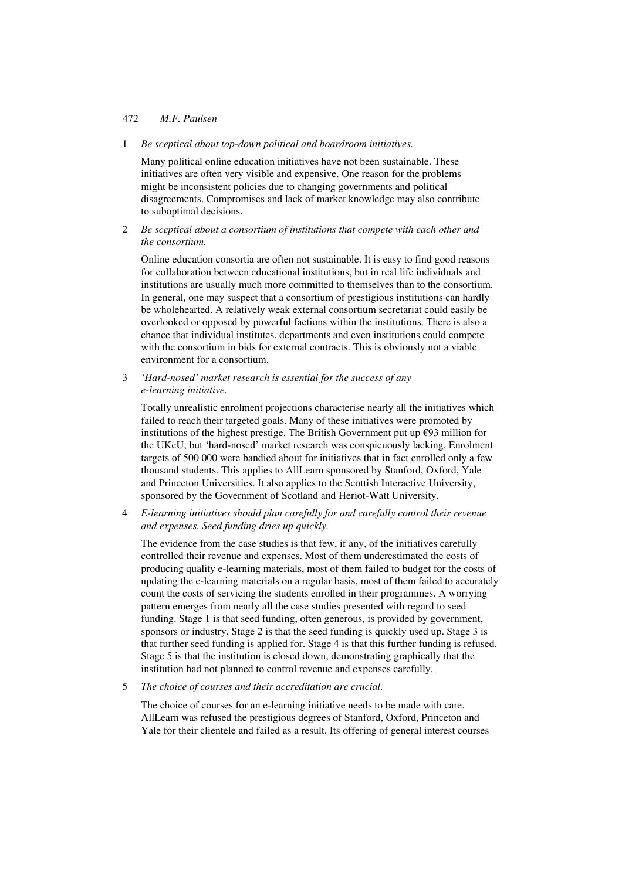1 *Be sceptical about top-down political and boardroom initiatives.* 

Many political online education initiatives have not been sustainable. These initiatives are often very visible and expensive. One reason for the problems might be inconsistent policies due to changing governments and political disagreements. Compromises and lack of market knowledge may also contribute to suboptimal decisions.

2 *Be sceptical about a consortium of institutions that compete with each other and the consortium.* 

Online education consortia are often not sustainable. It is easy to find good reasons for collaboration between educational institutions, but in real life individuals and institutions are usually much more committed to themselves than to the consortium. In general, one may suspect that a consortium of prestigious institutions can hardly be wholehearted. A relatively weak external consortium secretariat could easily be overlooked or opposed by powerful factions within the institutions. There is also a chance that individual institutes, departments and even institutions could compete with the consortium in bids for external contracts. This is obviously not a viable environment for a consortium.

3 *'Hard-nosed' market research is essential for the success of any e-learning initiative.* 

Totally unrealistic enrolment projections characterise nearly all the initiatives which failed to reach their targeted goals. Many of these initiatives were promoted by institutions of the highest prestige. The British Government put up €93 million for the UKeU, but 'hard-nosed' market research was conspicuously lacking. Enrolment targets of 500 000 were bandied about for initiatives that in fact enrolled only a few thousand students. This applies to AllLearn sponsored by Stanford, Oxford, Yale and Princeton Universities. It also applies to the Scottish Interactive University, sponsored by the Government of Scotland and Heriot-Watt University.

4 *E-learning initiatives should plan carefully for and carefully control their revenue and expenses. Seed funding dries up quickly.* 

The evidence from the case studies is that few, if any, of the initiatives carefully controlled their revenue and expenses. Most of them underestimated the costs of producing quality e-learning materials, most of them failed to budget for the costs of updating the e-learning materials on a regular basis, most of them failed to accurately count the costs of servicing the students enrolled in their programmes. A worrying pattern emerges from nearly all the case studies presented with regard to seed funding. Stage 1 is that seed funding, often generous, is provided by government, sponsors or industry. Stage 2 is that the seed funding is quickly used up. Stage 3 is that further seed funding is applied for. Stage 4 is that this further funding is refused. Stage 5 is that the institution is closed down, demonstrating graphically that the institution had not planned to control revenue and expenses carefully.

5 *The choice of courses and their accreditation are crucial.* 

The choice of courses for an e-learning initiative needs to be made with care. AllLearn was refused the prestigious degrees of Stanford, Oxford, Princeton and Yale for their clientele and failed as a result. Its offering of general interest courses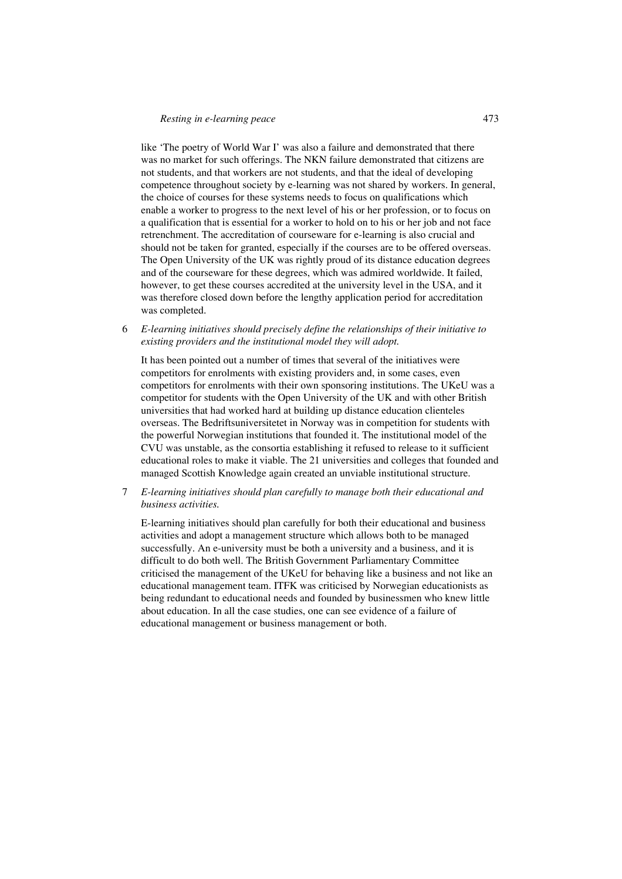like 'The poetry of World War I' was also a failure and demonstrated that there was no market for such offerings. The NKN failure demonstrated that citizens are not students, and that workers are not students, and that the ideal of developing competence throughout society by e-learning was not shared by workers. In general, the choice of courses for these systems needs to focus on qualifications which enable a worker to progress to the next level of his or her profession, or to focus on a qualification that is essential for a worker to hold on to his or her job and not face retrenchment. The accreditation of courseware for e-learning is also crucial and should not be taken for granted, especially if the courses are to be offered overseas. The Open University of the UK was rightly proud of its distance education degrees and of the courseware for these degrees, which was admired worldwide. It failed, however, to get these courses accredited at the university level in the USA, and it was therefore closed down before the lengthy application period for accreditation was completed.

6 *E-learning initiatives should precisely define the relationships of their initiative to existing providers and the institutional model they will adopt.* 

It has been pointed out a number of times that several of the initiatives were competitors for enrolments with existing providers and, in some cases, even competitors for enrolments with their own sponsoring institutions. The UKeU was a competitor for students with the Open University of the UK and with other British universities that had worked hard at building up distance education clienteles overseas. The Bedriftsuniversitetet in Norway was in competition for students with the powerful Norwegian institutions that founded it. The institutional model of the CVU was unstable, as the consortia establishing it refused to release to it sufficient educational roles to make it viable. The 21 universities and colleges that founded and managed Scottish Knowledge again created an unviable institutional structure.

7 *E-learning initiatives should plan carefully to manage both their educational and business activities.* 

E-learning initiatives should plan carefully for both their educational and business activities and adopt a management structure which allows both to be managed successfully. An e-university must be both a university and a business, and it is difficult to do both well. The British Government Parliamentary Committee criticised the management of the UKeU for behaving like a business and not like an educational management team. ITFK was criticised by Norwegian educationists as being redundant to educational needs and founded by businessmen who knew little about education. In all the case studies, one can see evidence of a failure of educational management or business management or both.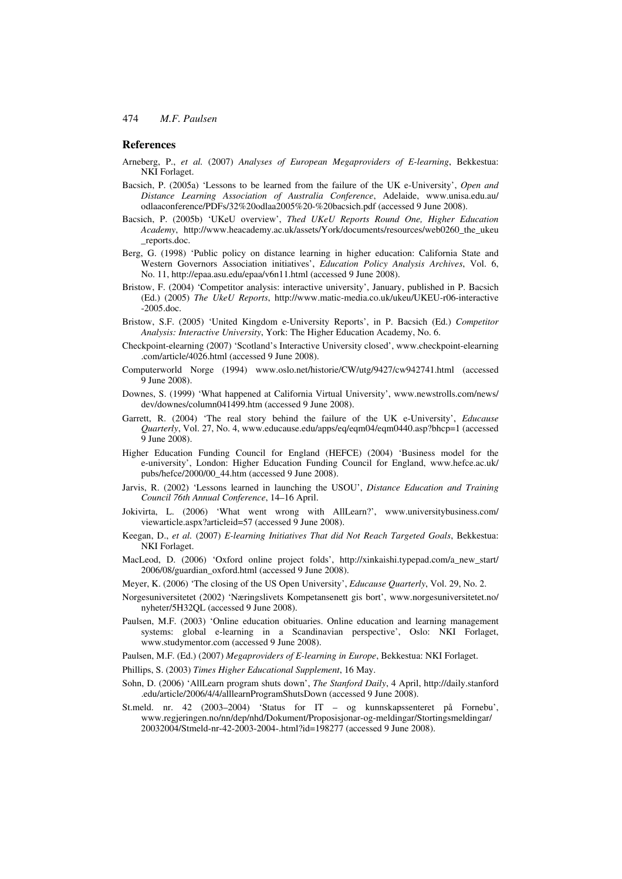#### **References**

- Arneberg, P., *et al.* (2007) *Analyses of European Megaproviders of E-learning*, Bekkestua: NKI Forlaget.
- Bacsich, P. (2005a) 'Lessons to be learned from the failure of the UK e-University', *Open and Distance Learning Association of Australia Conference*, Adelaide, www.unisa.edu.au/ odlaaconference/PDFs/32%20odlaa2005%20-%20bacsich.pdf (accessed 9 June 2008).
- Bacsich, P. (2005b) 'UKeU overview', *Thed UKeU Reports Round One, Higher Education Academy*, http://www.heacademy.ac.uk/assets/York/documents/resources/web0260\_the\_ukeu \_reports.doc.
- Berg, G. (1998) 'Public policy on distance learning in higher education: California State and Western Governors Association initiatives', *Education Policy Analysis Archives*, Vol. 6, No. 11, http://epaa.asu.edu/epaa/v6n11.html (accessed 9 June 2008).
- Bristow, F. (2004) 'Competitor analysis: interactive university', January, published in P. Bacsich (Ed.) (2005) *The UkeU Reports*, http://www.matic-media.co.uk/ukeu/UKEU-r06-interactive -2005.doc.
- Bristow, S.F. (2005) 'United Kingdom e-University Reports', in P. Bacsich (Ed.) *Competitor Analysis: Interactive University*, York: The Higher Education Academy, No. 6.
- Checkpoint-elearning (2007) 'Scotland's Interactive University closed', www.checkpoint-elearning .com/article/4026.html (accessed 9 June 2008).
- Computerworld Norge (1994) www.oslo.net/historie/CW/utg/9427/cw942741.html (accessed 9 June 2008).
- Downes, S. (1999) 'What happened at California Virtual University', www.newstrolls.com/news/ dev/downes/column041499.htm (accessed 9 June 2008).
- Garrett, R. (2004) 'The real story behind the failure of the UK e-University', *Educause Quarterly*, Vol. 27, No. 4, www.educause.edu/apps/eq/eqm04/eqm0440.asp?bhcp=1 (accessed 9 June 2008).
- Higher Education Funding Council for England (HEFCE) (2004) 'Business model for the e-university', London: Higher Education Funding Council for England, www.hefce.ac.uk/ pubs/hefce/2000/00\_44.htm (accessed 9 June 2008).
- Jarvis, R. (2002) 'Lessons learned in launching the USOU', *Distance Education and Training Council 76th Annual Conference*, 14–16 April.
- Jokivirta, L. (2006) 'What went wrong with AllLearn?', www.universitybusiness.com/ viewarticle.aspx?articleid=57 (accessed 9 June 2008).
- Keegan, D., *et al.* (2007) *E-learning Initiatives That did Not Reach Targeted Goals*, Bekkestua: NKI Forlaget.
- MacLeod, D. (2006) 'Oxford online project folds', http://xinkaishi.typepad.com/a new start/ 2006/08/guardian\_oxford.html (accessed 9 June 2008).
- Meyer, K. (2006) 'The closing of the US Open University', *Educause Quarterly*, Vol. 29, No. 2.
- Norgesuniversitetet (2002) 'Næringslivets Kompetansenett gis bort', www.norgesuniversitetet.no/ nyheter/5H32QL (accessed 9 June 2008).
- Paulsen, M.F. (2003) 'Online education obituaries. Online education and learning management systems: global e-learning in a Scandinavian perspective', Oslo: NKI Forlaget, www.studymentor.com (accessed 9 June 2008).
- Paulsen, M.F. (Ed.) (2007) *Megaproviders of E-learning in Europe*, Bekkestua: NKI Forlaget.

Phillips, S. (2003) *Times Higher Educational Supplement*, 16 May.

- Sohn, D. (2006) 'AllLearn program shuts down', *The Stanford Daily*, 4 April, http://daily.stanford .edu/article/2006/4/4/alllearnProgramShutsDown (accessed 9 June 2008).
- St.meld. nr. 42 (2003–2004) 'Status for IT og kunnskapssenteret på Fornebu', www.regjeringen.no/nn/dep/nhd/Dokument/Proposisjonar-og-meldingar/Stortingsmeldingar/ 20032004/Stmeld-nr-42-2003-2004-.html?id=198277 (accessed 9 June 2008).